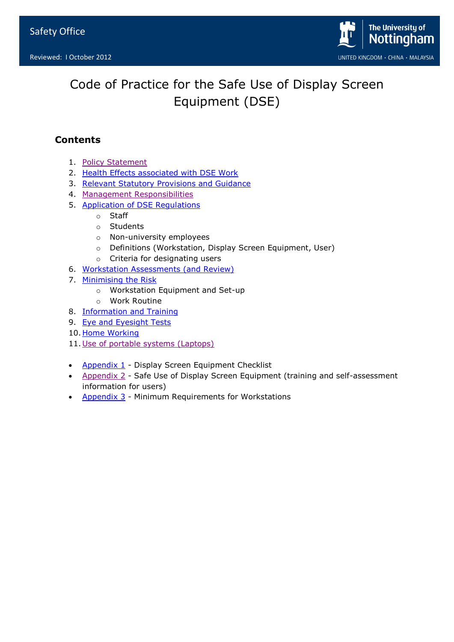

# Code of Practice for the Safe Use of Display Screen Equipment (DSE)

# **Contents**

- 1. [Policy Statement](#page-1-0)
- 2. Health Effects [associated with DSE Work](#page-1-1)
- 3. [Relevant Statutory Provisions and Guidance](#page-1-2)
- 4. [Management Responsibilities](#page-2-0)
- 5. [Application of DSE Regulations](#page-2-1)
	- o Staff
	- o Students
	- o Non-university employees
	- o Definitions (Workstation, Display Screen Equipment, User)
	- o Criteria for designating users
- 6. [Workstation Assessments \(and Review\)](#page-5-0)
- 7. [Minimising the Risk](#page-7-0)
	- o Workstation Equipment and Set-up
	- o Work Routine
- 8. [Information and Training](#page-8-0)
- 9. [Eye and Eyesight Tests](#page-9-0)
- 10. [Home Working](#page-9-1)
- 11. [Use of portable systems \(Laptops\)](#page-9-2)
- [Appendix 1](#page-10-0) Display Screen Equipment Checklist
- [Appendix 2](#page-10-1) Safe Use of Display Screen Equipment (training and self-assessment information for users)
- [Appendix 3](#page-11-0) Minimum Requirements for Workstations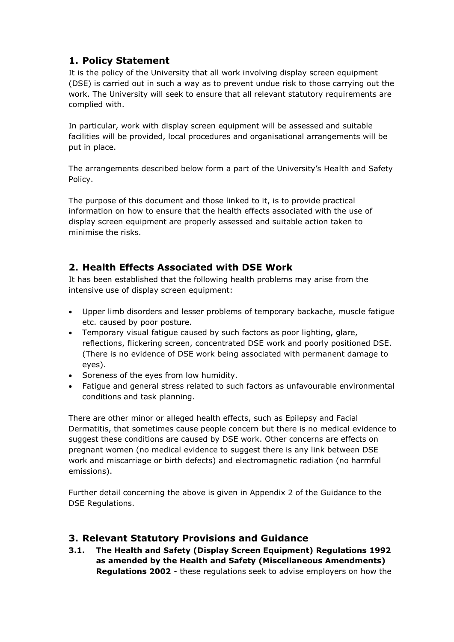# <span id="page-1-0"></span>**1. Policy Statement**

It is the policy of the University that all work involving display screen equipment (DSE) is carried out in such a way as to prevent undue risk to those carrying out the work. The University will seek to ensure that all relevant statutory requirements are complied with.

In particular, work with display screen equipment will be assessed and suitable facilities will be provided, local procedures and organisational arrangements will be put in place.

The arrangements described below form a part of the University's Health and Safety Policy.

The purpose of this document and those linked to it, is to provide practical information on how to ensure that the health effects associated with the use of display screen equipment are properly assessed and suitable action taken to minimise the risks.

# <span id="page-1-1"></span>**2. Health Effects Associated with DSE Work**

It has been established that the following health problems may arise from the intensive use of display screen equipment:

- Upper limb disorders and lesser problems of temporary backache, muscle fatigue etc. caused by poor posture.
- Temporary visual fatigue caused by such factors as poor lighting, glare, reflections, flickering screen, concentrated DSE work and poorly positioned DSE. (There is no evidence of DSE work being associated with permanent damage to eyes).
- Soreness of the eyes from low humidity.
- Fatigue and general stress related to such factors as unfavourable environmental conditions and task planning.

There are other minor or alleged health effects, such as Epilepsy and Facial Dermatitis, that sometimes cause people concern but there is no medical evidence to suggest these conditions are caused by DSE work. Other concerns are effects on pregnant women (no medical evidence to suggest there is any link between DSE work and miscarriage or birth defects) and electromagnetic radiation (no harmful emissions).

Further detail concerning the above is given in Appendix 2 of the Guidance to the DSE Regulations.

# <span id="page-1-2"></span>**3. Relevant Statutory Provisions and Guidance**

**3.1. The Health and Safety (Display Screen Equipment) Regulations 1992 as amended by the Health and Safety (Miscellaneous Amendments) Regulations 2002** - these regulations seek to advise employers on how the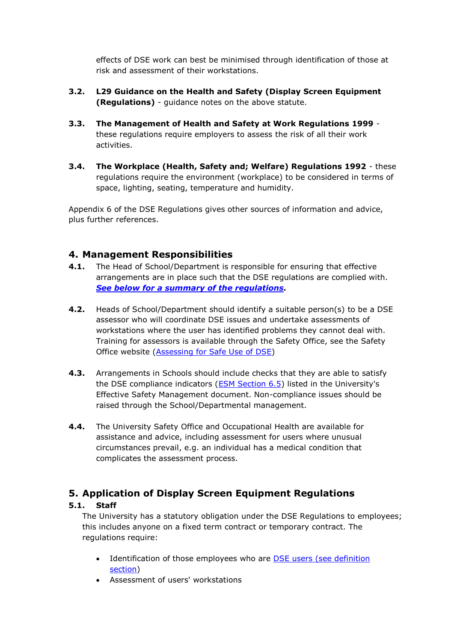effects of DSE work can best be minimised through identification of those at risk and assessment of their workstations.

- **3.2. L29 Guidance on the Health and Safety (Display Screen Equipment (Regulations)** - guidance notes on the above statute.
- **3.3. The Management of Health and Safety at Work Regulations 1999** these regulations require employers to assess the risk of all their work activities.
- **3.4. The Workplace (Health, Safety and; Welfare) Regulations 1992** these regulations require the environment (workplace) to be considered in terms of space, lighting, seating, temperature and humidity.

Appendix 6 of the DSE Regulations gives other sources of information and advice, plus further references.

### <span id="page-2-0"></span>**4. Management Responsibilities**

- **4.1.** The Head of School/Department is responsible for ensuring that effective arrangements are in place such that the DSE regulations are complied with. *[See below for a summary of the regulations.](#page-2-2)*
- **4.2.** Heads of School/Department should identify a suitable person(s) to be a DSE assessor who will coordinate DSE issues and undertake assessments of workstations where the user has identified problems they cannot deal with. Training for assessors is available through the Safety Office, see the Safety Office website [\(Assessing for Safe Use of DSE\)](http://www.nottingham.ac.uk/safety/training/training.aspx)
- **4.3.** Arrangements in Schools should include checks that they are able to satisfy the DSE compliance indicators [\(ESM Section 6.5\)](http://www.nottingham.ac.uk/safety/safety-management/esm/compliance-indicators.aspx#DSEhttp://www.nottingham.ac.uk/safety/safety-management/esm/compliance-indicators.aspx) listed in the University's Effective Safety Management document. Non-compliance issues should be raised through the School/Departmental management.
- **4.4.** The University Safety Office and Occupational Health are available for assistance and advice, including assessment for users where unusual circumstances prevail, e.g. an individual has a medical condition that complicates the assessment process.

# <span id="page-2-2"></span>**5. Application of Display Screen Equipment Regulations**

#### **5.1. Staff**

The University has a statutory obligation under the DSE Regulations to employees; this includes anyone on a fixed term contract or temporary contract. The regulations require:

- <span id="page-2-1"></span>• Identification of those employees who are **DSE** users (see definition [section\)](http://www.nottingham.ac.uk/safety/documents/dse-safe-use.pdf)
- Assessment of users' workstations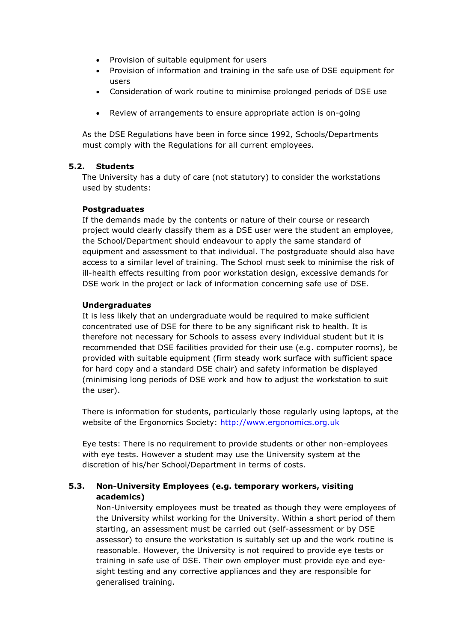- Provision of suitable equipment for users
- Provision of information and training in the safe use of DSE equipment for users
- Consideration of work routine to minimise prolonged periods of DSE use
- Review of arrangements to ensure appropriate action is on-going

As the DSE Regulations have been in force since 1992, Schools/Departments must comply with the Regulations for all current employees.

#### **5.2. Students**

The University has a duty of care (not statutory) to consider the workstations used by students:

#### **Postgraduates**

If the demands made by the contents or nature of their course or research project would clearly classify them as a DSE user were the student an employee, the School/Department should endeavour to apply the same standard of equipment and assessment to that individual. The postgraduate should also have access to a similar level of training. The School must seek to minimise the risk of ill-health effects resulting from poor workstation design, excessive demands for DSE work in the project or lack of information concerning safe use of DSE.

#### **Undergraduates**

It is less likely that an undergraduate would be required to make sufficient concentrated use of DSE for there to be any significant risk to health. It is therefore not necessary for Schools to assess every individual student but it is recommended that DSE facilities provided for their use (e.g. computer rooms), be provided with suitable equipment (firm steady work surface with sufficient space for hard copy and a standard DSE chair) and safety information be displayed (minimising long periods of DSE work and how to adjust the workstation to suit the user).

There is information for students, particularly those regularly using laptops, at the website of the Ergonomics Society: [http://www.ergonomics.org.uk](http://www.ergonomics.org.uk/)

Eye tests: There is no requirement to provide students or other non-employees with eye tests. However a student may use the University system at the discretion of his/her School/Department in terms of costs.

#### **5.3. Non-University Employees (e.g. temporary workers, visiting academics)**

Non-University employees must be treated as though they were employees of the University whilst working for the University. Within a short period of them starting, an assessment must be carried out (self-assessment or by DSE assessor) to ensure the workstation is suitably set up and the work routine is reasonable. However, the University is not required to provide eye tests or training in safe use of DSE. Their own employer must provide eye and eyesight testing and any corrective appliances and they are responsible for generalised training.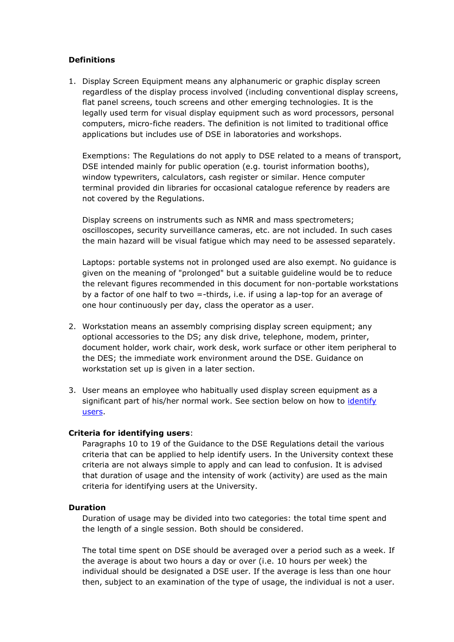#### **Definitions**

1. Display Screen Equipment means any alphanumeric or graphic display screen regardless of the display process involved (including conventional display screens, flat panel screens, touch screens and other emerging technologies. It is the legally used term for visual display equipment such as word processors, personal computers, micro-fiche readers. The definition is not limited to traditional office applications but includes use of DSE in laboratories and workshops.

Exemptions: The Regulations do not apply to DSE related to a means of transport, DSE intended mainly for public operation (e.g. tourist information booths), window typewriters, calculators, cash register or similar. Hence computer terminal provided din libraries for occasional catalogue reference by readers are not covered by the Regulations.

Display screens on instruments such as NMR and mass spectrometers; oscilloscopes, security surveillance cameras, etc. are not included. In such cases the main hazard will be visual fatigue which may need to be assessed separately.

Laptops: portable systems not in prolonged used are also exempt. No guidance is given on the meaning of "prolonged" but a suitable guideline would be to reduce the relevant figures recommended in this document for non-portable workstations by a factor of one half to two =-thirds, i.e. if using a lap-top for an average of one hour continuously per day, class the operator as a user.

- 2. Workstation means an assembly comprising display screen equipment; any optional accessories to the DS; any disk drive, telephone, modem, printer, document holder, work chair, work desk, work surface or other item peripheral to the DES; the immediate work environment around the DSE. Guidance on workstation set up is given in a later section.
- 3. User means an employee who habitually used display screen equipment as a significant part of his/her normal work. See section below on how to [identify](http://www.nottingham.ac.uk/safety/documents/dse-safe-use.pdf)  [users.](http://www.nottingham.ac.uk/safety/documents/dse-safe-use.pdf)

#### **Criteria for identifying users**:

Paragraphs 10 to 19 of the Guidance to the DSE Regulations detail the various criteria that can be applied to help identify users. In the University context these criteria are not always simple to apply and can lead to confusion. It is advised that duration of usage and the intensity of work (activity) are used as the main criteria for identifying users at the University.

#### **Duration**

Duration of usage may be divided into two categories: the total time spent and the length of a single session. Both should be considered.

The total time spent on DSE should be averaged over a period such as a week. If the average is about two hours a day or over (i.e. 10 hours per week) the individual should be designated a DSE user. If the average is less than one hour then, subject to an examination of the type of usage, the individual is not a user.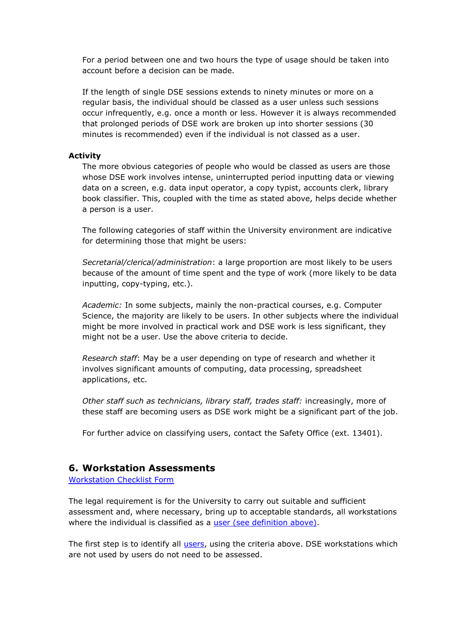For a period between one and two hours the type of usage should be taken into account before a decision can be made.

If the length of single DSE sessions extends to ninety minutes or more on a regular basis, the individual should be classed as a user unless such sessions occur infrequently, e.g. once a month or less. However it is always recommended that prolonged periods of DSE work are broken up into shorter sessions (30 minutes is recommended) even if the individual is not classed as a user.

#### **Activity**

The more obvious categories of people who would be classed as users are those whose DSE work involves intense, uninterrupted period inputting data or viewing data on a screen, e.g. data input operator, a copy typist, accounts clerk, library book classifier. This, coupled with the time as stated above, helps decide whether a person is a user.

The following categories of staff within the University environment are indicative for determining those that might be users:

*Secretarial/clerical/administration*: a large proportion are most likely to be users because of the amount of time spent and the type of work (more likely to be data inputting, copy-typing, etc.).

*Academic:* In some subjects, mainly the non-practical courses, e.g. Computer Science, the majority are likely to be users. In other subjects where the individual might be more involved in practical work and DSE work is less significant, they might not be a user. Use the above criteria to decide.

*Research staff*: May be a user depending on type of research and whether it involves significant amounts of computing, data processing, spreadsheet applications, etc.

*Other staff such as technicians, library staff, trades staff:* increasingly, more of these staff are becoming users as DSE work might be a significant part of the job.

For further advice on classifying users, contact the Safety Office (ext. 13401).

### <span id="page-5-0"></span>**6. Workstation Assessments**

[Workstation Checklist Form](http://www.nottingham.ac.uk/safety/local/dsechecklist.htm)

The legal requirement is for the University to carry out suitable and sufficient assessment and, where necessary, bring up to acceptable standards, all workstations where the individual is classified as a [user \(see definition above\).](http://www.nottingham.ac.uk/safety/documents/dse-safe-use.pdf)

The first step is to identify all [users,](http://www.nottingham.ac.uk/safety/documents/dse-safe-use.pdf) using the criteria above. DSE workstations which are not used by users do not need to be assessed.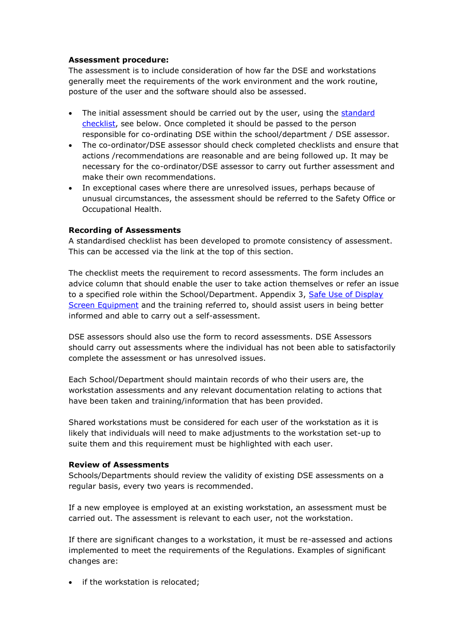#### **Assessment procedure:**

The assessment is to include consideration of how far the DSE and workstations generally meet the requirements of the work environment and the work routine, posture of the user and the software should also be assessed.

- The initial assessment should be carried out by the user, using the standard [checklist,](http://www.nottingham.ac.uk/safety/forms/dsechecklist.htm) see below. Once completed it should be passed to the person responsible for co-ordinating DSE within the school/department / DSE assessor.
- The co-ordinator/DSE assessor should check completed checklists and ensure that actions /recommendations are reasonable and are being followed up. It may be necessary for the co-ordinator/DSE assessor to carry out further assessment and make their own recommendations.
- In exceptional cases where there are unresolved issues, perhaps because of unusual circumstances, the assessment should be referred to the Safety Office or Occupational Health.

#### **Recording of Assessments**

A standardised checklist has been developed to promote consistency of assessment. This can be accessed via the link at the top of this section.

The checklist meets the requirement to record assessments. The form includes an advice column that should enable the user to take action themselves or refer an issue to a specified role within the School/Department. Appendix 3, Safe Use of Display [Screen Equipment](http://www.nottingham.ac.uk/safety/documents/dse-cop.pdf) and the training referred to, should assist users in being better informed and able to carry out a self-assessment.

DSE assessors should also use the form to record assessments. DSE Assessors should carry out assessments where the individual has not been able to satisfactorily complete the assessment or has unresolved issues.

Each School/Department should maintain records of who their users are, the workstation assessments and any relevant documentation relating to actions that have been taken and training/information that has been provided.

Shared workstations must be considered for each user of the workstation as it is likely that individuals will need to make adjustments to the workstation set-up to suite them and this requirement must be highlighted with each user.

#### **Review of Assessments**

Schools/Departments should review the validity of existing DSE assessments on a regular basis, every two years is recommended.

If a new employee is employed at an existing workstation, an assessment must be carried out. The assessment is relevant to each user, not the workstation.

If there are significant changes to a workstation, it must be re-assessed and actions implemented to meet the requirements of the Regulations. Examples of significant changes are:

• if the workstation is relocated: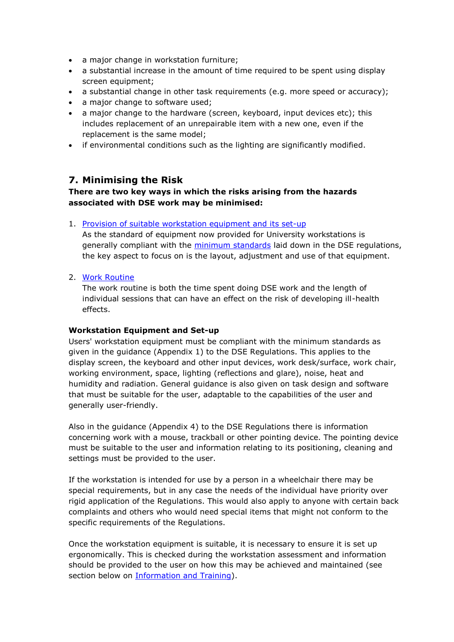- a major change in workstation furniture;
- a substantial increase in the amount of time required to be spent using display screen equipment;
- a substantial change in other task requirements (e.g. more speed or accuracy);
- a major change to software used;
- a major change to the hardware (screen, keyboard, input devices etc); this includes replacement of an unrepairable item with a new one, even if the replacement is the same model;
- if environmental conditions such as the lighting are significantly modified.

# <span id="page-7-0"></span>**7. Minimising the Risk**

#### **There are two key ways in which the risks arising from the hazards associated with DSE work may be minimised:**

1. [Provision of suitable workstation equipment and its set-up](#page-7-1)

As the standard of equipment now provided for University workstations is generally compliant with the [minimum standards](#page-11-1) laid down in the DSE regulations, the key aspect to focus on is the layout, adjustment and use of that equipment.

#### 2. [Work Routine](#page-8-1)

The work routine is both the time spent doing DSE work and the length of individual sessions that can have an effect on the risk of developing ill-health effects.

#### <span id="page-7-1"></span>**Workstation Equipment and Set-up**

Users' workstation equipment must be compliant with the minimum standards as given in the guidance (Appendix 1) to the DSE Regulations. This applies to the display screen, the keyboard and other input devices, work desk/surface, work chair, working environment, space, lighting (reflections and glare), noise, heat and humidity and radiation. General guidance is also given on task design and software that must be suitable for the user, adaptable to the capabilities of the user and generally user-friendly.

Also in the guidance (Appendix 4) to the DSE Regulations there is information concerning work with a mouse, trackball or other pointing device. The pointing device must be suitable to the user and information relating to its positioning, cleaning and settings must be provided to the user.

If the workstation is intended for use by a person in a wheelchair there may be special requirements, but in any case the needs of the individual have priority over rigid application of the Regulations. This would also apply to anyone with certain back complaints and others who would need special items that might not conform to the specific requirements of the Regulations.

Once the workstation equipment is suitable, it is necessary to ensure it is set up ergonomically. This is checked during the workstation assessment and information should be provided to the user on how this may be achieved and maintained (see section below on [Information and Training\)](http://www.nottingham.ac.uk/safety/training/training.aspx).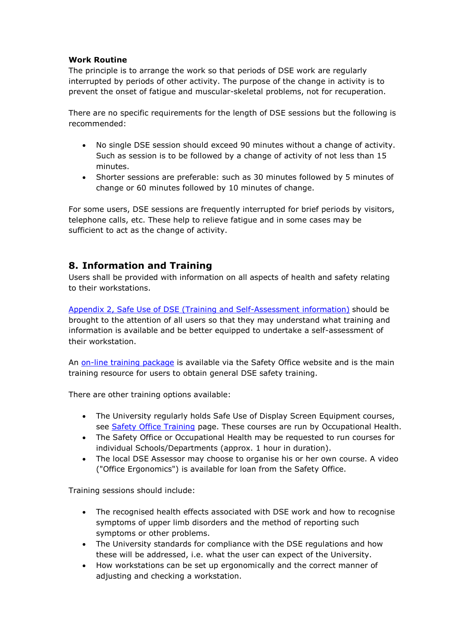#### <span id="page-8-1"></span>**Work Routine**

The principle is to arrange the work so that periods of DSE work are regularly interrupted by periods of other activity. The purpose of the change in activity is to prevent the onset of fatigue and muscular-skeletal problems, not for recuperation.

There are no specific requirements for the length of DSE sessions but the following is recommended:

- No single DSE session should exceed 90 minutes without a change of activity. Such as session is to be followed by a change of activity of not less than 15 minutes.
- Shorter sessions are preferable: such as 30 minutes followed by 5 minutes of change or 60 minutes followed by 10 minutes of change.

For some users, DSE sessions are frequently interrupted for brief periods by visitors, telephone calls, etc. These help to relieve fatigue and in some cases may be sufficient to act as the change of activity.

# <span id="page-8-0"></span>**8. Information and Training**

Users shall be provided with information on all aspects of health and safety relating to their workstations.

[Appendix 2, Safe Use of DSE \(Training and Self-Assessment information\)](http://www.nottingham.ac.uk/safety/policies-and-guidance/dse/dse.aspx) should be brought to the attention of all users so that they may understand what training and information is available and be better equipped to undertake a self-assessment of their workstation.

An [on-line training package](http://www.learninglink.ac.uk/keepfit/index.htm) is available via the Safety Office website and is the main training resource for users to obtain general DSE safety training.

There are other training options available:

- The University regularly holds Safe Use of Display Screen Equipment courses, see [Safety Office Training](http://www.nottingham.ac.uk/safety/training/training.aspx) page. These courses are run by Occupational Health.
- The Safety Office or Occupational Health may be requested to run courses for individual Schools/Departments (approx. 1 hour in duration).
- The local DSE Assessor may choose to organise his or her own course. A video ("Office Ergonomics") is available for loan from the Safety Office.

Training sessions should include:

- The recognised health effects associated with DSE work and how to recognise symptoms of upper limb disorders and the method of reporting such symptoms or other problems.
- The University standards for compliance with the DSE regulations and how these will be addressed, i.e. what the user can expect of the University.
- How workstations can be set up ergonomically and the correct manner of adjusting and checking a workstation.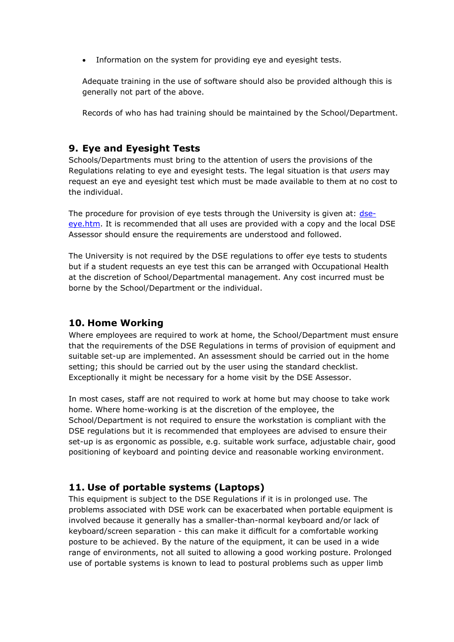Information on the system for providing eye and eyesight tests.

Adequate training in the use of software should also be provided although this is generally not part of the above.

Records of who has had training should be maintained by the School/Department.

### <span id="page-9-0"></span>**9. Eye and Eyesight Tests**

Schools/Departments must bring to the attention of users the provisions of the Regulations relating to eye and eyesight tests. The legal situation is that *users* may request an eye and eyesight test which must be made available to them at no cost to the individual.

The procedure for provision of eye tests through the University is given at: [dse](http://www.nottingham.ac.uk/safety/policies-and-guidance/dse/dse-eye.aspx)[eye.htm.](http://www.nottingham.ac.uk/safety/policies-and-guidance/dse/dse-eye.aspx) It is recommended that all uses are provided with a copy and the local DSE Assessor should ensure the requirements are understood and followed.

The University is not required by the DSE regulations to offer eye tests to students but if a student requests an eye test this can be arranged with Occupational Health at the discretion of School/Departmental management. Any cost incurred must be borne by the School/Department or the individual.

# <span id="page-9-1"></span>**10. Home Working**

Where employees are required to work at home, the School/Department must ensure that the requirements of the DSE Regulations in terms of provision of equipment and suitable set-up are implemented. An assessment should be carried out in the home setting; this should be carried out by the user using the standard checklist. Exceptionally it might be necessary for a home visit by the DSE Assessor.

In most cases, staff are not required to work at home but may choose to take work home. Where home-working is at the discretion of the employee, the School/Department is not required to ensure the workstation is compliant with the DSE regulations but it is recommended that employees are advised to ensure their set-up is as ergonomic as possible, e.g. suitable work surface, adjustable chair, good positioning of keyboard and pointing device and reasonable working environment.

# <span id="page-9-2"></span>**11. Use of portable systems (Laptops)**

This equipment is subject to the DSE Regulations if it is in prolonged use. The problems associated with DSE work can be exacerbated when portable equipment is involved because it generally has a smaller-than-normal keyboard and/or lack of keyboard/screen separation - this can make it difficult for a comfortable working posture to be achieved. By the nature of the equipment, it can be used in a wide range of environments, not all suited to allowing a good working posture. Prolonged use of portable systems is known to lead to postural problems such as upper limb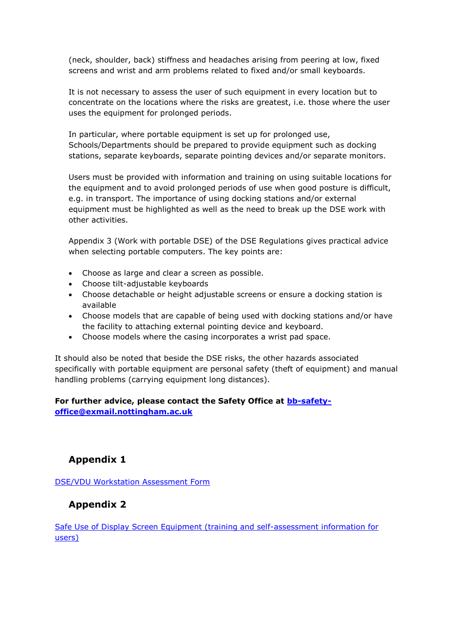(neck, shoulder, back) stiffness and headaches arising from peering at low, fixed screens and wrist and arm problems related to fixed and/or small keyboards.

It is not necessary to assess the user of such equipment in every location but to concentrate on the locations where the risks are greatest, i.e. those where the user uses the equipment for prolonged periods.

In particular, where portable equipment is set up for prolonged use, Schools/Departments should be prepared to provide equipment such as docking stations, separate keyboards, separate pointing devices and/or separate monitors.

Users must be provided with information and training on using suitable locations for the equipment and to avoid prolonged periods of use when good posture is difficult, e.g. in transport. The importance of using docking stations and/or external equipment must be highlighted as well as the need to break up the DSE work with other activities.

Appendix 3 (Work with portable DSE) of the DSE Regulations gives practical advice when selecting portable computers. The key points are:

- Choose as large and clear a screen as possible.
- Choose tilt-adjustable keyboards
- Choose detachable or height adjustable screens or ensure a docking station is available
- Choose models that are capable of being used with docking stations and/or have the facility to attaching external pointing device and keyboard.
- Choose models where the casing incorporates a wrist pad space.

It should also be noted that beside the DSE risks, the other hazards associated specifically with portable equipment are personal safety (theft of equipment) and manual handling problems (carrying equipment long distances).

### <span id="page-10-0"></span>**For further advice, please contact the Safety Office at [bb-safety](mailto:bb-safety-office@exmail.nottingham.ac.uk)[office@exmail.nottingham.ac.uk](mailto:bb-safety-office@exmail.nottingham.ac.uk)**

# **Appendix 1**

[DSE/VDU Workstation Assessment](http://www.nottingham.ac.uk/safety/local/dsechecklist.htm) Form

# <span id="page-10-1"></span>**Appendix 2**

[Safe Use of Display Screen Equipment \(training and self-assessment information for](http://www.nottingham.ac.uk/safety/policies-and-guidance/dse/dse.aspx)  [users\)](http://www.nottingham.ac.uk/safety/policies-and-guidance/dse/dse.aspx)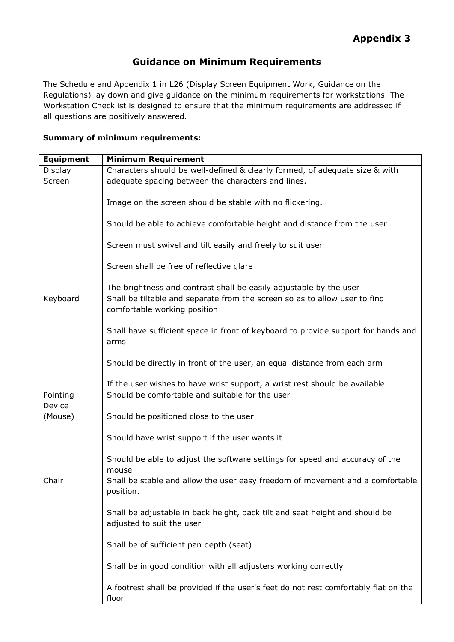# <span id="page-11-1"></span>**Guidance on Minimum Requirements**

<span id="page-11-0"></span>The Schedule and Appendix 1 in L26 (Display Screen Equipment Work, Guidance on the Regulations) lay down and give guidance on the minimum requirements for workstations. The Workstation Checklist is designed to ensure that the minimum requirements are addressed if all questions are positively answered.

#### **Summary of minimum requirements:**

| <b>Equipment</b> | <b>Minimum Requirement</b>                                                                                 |
|------------------|------------------------------------------------------------------------------------------------------------|
| Display          | Characters should be well-defined & clearly formed, of adequate size & with                                |
| Screen           | adequate spacing between the characters and lines.                                                         |
|                  | Image on the screen should be stable with no flickering.                                                   |
|                  | Should be able to achieve comfortable height and distance from the user                                    |
|                  | Screen must swivel and tilt easily and freely to suit user                                                 |
|                  | Screen shall be free of reflective glare                                                                   |
|                  | The brightness and contrast shall be easily adjustable by the user                                         |
| Keyboard         | Shall be tiltable and separate from the screen so as to allow user to find<br>comfortable working position |
|                  | Shall have sufficient space in front of keyboard to provide support for hands and<br>arms                  |
|                  | Should be directly in front of the user, an equal distance from each arm                                   |
|                  | If the user wishes to have wrist support, a wrist rest should be available                                 |
| Pointing         | Should be comfortable and suitable for the user                                                            |
| Device           |                                                                                                            |
| (Mouse)          | Should be positioned close to the user                                                                     |
|                  | Should have wrist support if the user wants it                                                             |
|                  | Should be able to adjust the software settings for speed and accuracy of the<br>mouse                      |
| Chair            | Shall be stable and allow the user easy freedom of movement and a comfortable<br>position.                 |
|                  | Shall be adjustable in back height, back tilt and seat height and should be<br>adjusted to suit the user   |
|                  | Shall be of sufficient pan depth (seat)                                                                    |
|                  | Shall be in good condition with all adjusters working correctly                                            |
|                  | A footrest shall be provided if the user's feet do not rest comfortably flat on the<br>floor               |